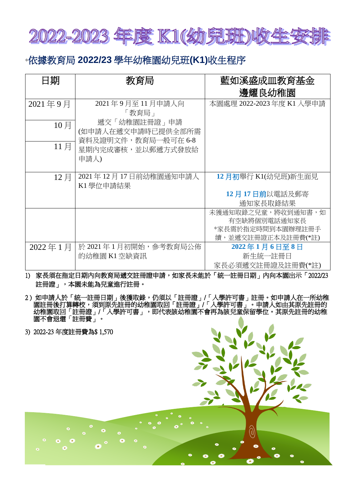

## \*依據教育局 **2022/23** 學年幼稚園幼兒班**(K1)**收生程序

| 日期      | 教育局                                              | 藍如溪盛成皿教育基金                              |
|---------|--------------------------------------------------|-----------------------------------------|
|         |                                                  | 邊耀良幼稚園                                  |
| 2021年9月 | 2021年9月至11月申請人向                                  | 本園處理 2022-2023 年度 K1 入學申請               |
| 10月     | 「教育局」<br>遞交「幼稚園註冊證」申請<br>(如申請人在遞交申請時已提供全部所需      |                                         |
| 11月     | 資料及證明文件,教育局一般可在 6-8<br>星期内完成審核,並以郵遞方式發放給<br>申請人) |                                         |
| 12月     | 2021年12月17日前幼稚園通知申請人<br>K1 學位申請結果                | 12月初舉行 K1(幼兒班)新生面見                      |
|         |                                                  | 12月17日前以電話及郵寄                           |
|         |                                                  | 通知家長取錄結果                                |
|         |                                                  | 未獲通知取錄之兒童,將收到通知書,如                      |
|         |                                                  | 有空缺將個別電話通知家長                            |
|         |                                                  | *家長需於指定時間到本園辦理註冊手<br>續,並遞交註冊證正本及註冊費(*註) |
| 2022年1月 | 於 2021 年 1 月初開始,參考教育局公佈                          | 2022年1月6日至8日                            |
|         | 的幼稚園 K1 空缺資訊                                     | 新生統一註冊日                                 |
|         |                                                  | 家長必須遞交註冊證及註冊費(*註)                       |

1) 家長須在指定日期内向教育局遞交註冊證申請,如家長未能於「統一註冊日期」內向本園出示「2022/23 註冊證」,本園未能為兒童進行註冊。

- 2)如申請人於「統一註冊日期」後獲取錄,仍須以「註冊證」/「入學許可書」註冊。如申請人在一所幼稚 園註冊後打算轉校,須到原先註冊的幼稚園取回「註冊證」/「入學許可書」。申請人如由其原先註冊的 幼稚園取回「註冊證」/「入學許可書」,即代表該幼稚園不會再為該兒童保留學位。其原先註冊的幼稚 園不會退還「註冊費」。
- 3) 2022-23 年度註冊費為\$ 1,570  $\left( 0\right)$